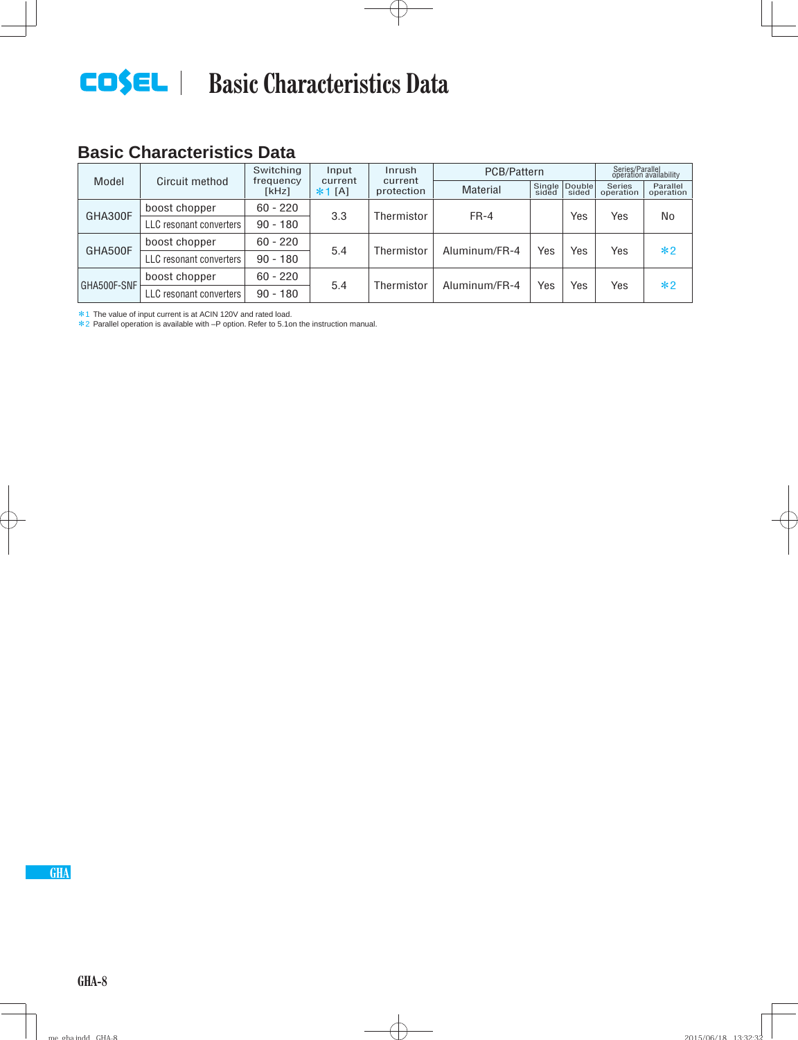# **EDSEL** Basic Characteristics Data

## **Basic Characteristics Data**

|             |                         | Switching<br>Input |          | Inrush                           | PCB/Pattern     |     |               | Series/Parallel<br>operation availability |                       |     |      |
|-------------|-------------------------|--------------------|----------|----------------------------------|-----------------|-----|---------------|-------------------------------------------|-----------------------|-----|------|
| Model       | Circuit method          | frequency<br>[kHz] | $*1$ [A] | current<br>current<br>protection | <b>Material</b> |     | Single Double | <b>Series</b><br>operation                | Parallel<br>operation |     |      |
| GHA300F     | boost chopper           | $60 - 220$         | 3.3      | Thermistor                       | $FR-4$          |     | Yes           | Yes                                       | No                    |     |      |
|             | LLC resonant converters | $90 - 180$         |          |                                  |                 |     |               |                                           |                       |     |      |
| GHA500F     | boost chopper           | $60 - 220$         | 5.4      |                                  | Thermistor      |     | Aluminum/FR-4 | Yes                                       | Yes                   | Yes | $*2$ |
|             | LLC resonant converters | $90 - 180$         |          |                                  |                 |     |               |                                           |                       |     |      |
| GHA500F-SNF | boost chopper           | $60 - 220$         |          |                                  |                 |     |               |                                           | $*2$                  |     |      |
|             | LLC resonant converters | $90 - 180$         | 5.4      | Thermistor                       | Aluminum/FR-4   | Yes | Yes           | Yes                                       |                       |     |      |

\*1 The value of input current is at ACIN 120V and rated load.

\*2 Parallel operation is available with –P option. Refer to 5.1on the instruction manual.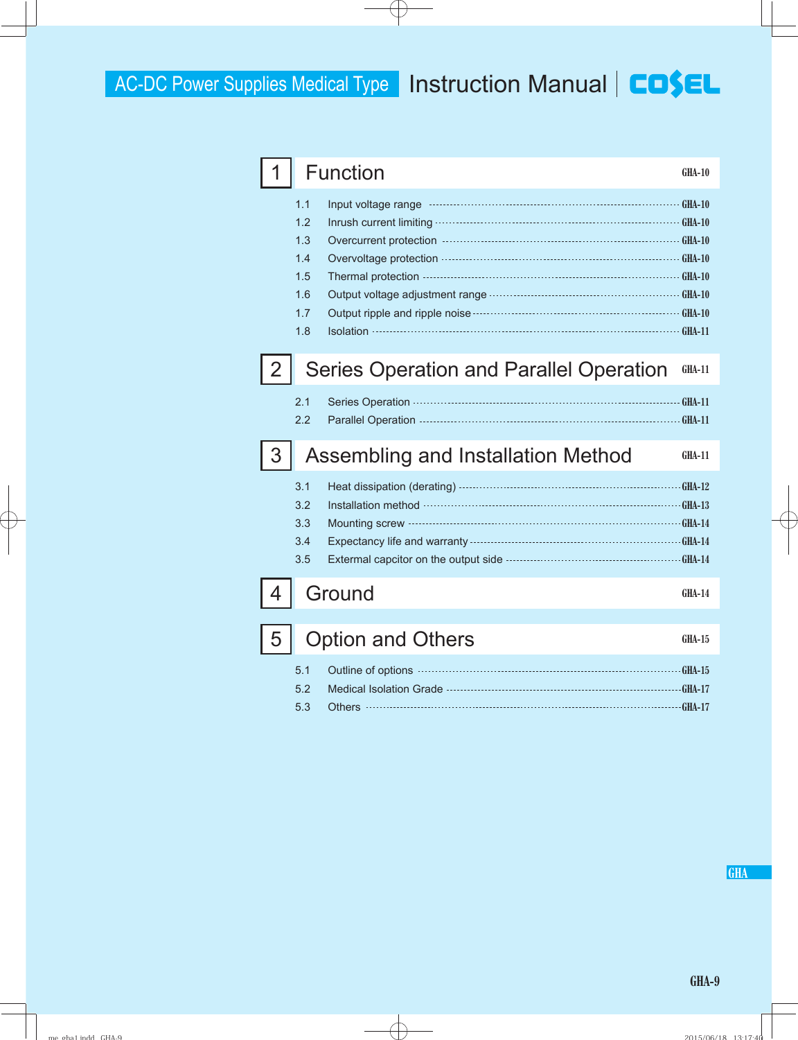# AC-DC Power Supplies Medical Type | Instruction Manual | COSEL

|   |                                                      | <b>Function</b>                                                                                                                    | <b>GHA-10</b>                                         |
|---|------------------------------------------------------|------------------------------------------------------------------------------------------------------------------------------------|-------------------------------------------------------|
|   | 1.1<br>1.2<br>1.3<br>1.4<br>1.5<br>1.6<br>1.7<br>1.8 | Input voltage range model contains and contain a series of the series of the series of the series of the serie<br><b>Isolation</b> | - GHA-10<br>$-$ GHA-10<br>$-$ GHA-10<br><b>GHA-11</b> |
|   |                                                      | <b>Series Operation and Parallel Operation</b>                                                                                     | <b>GHA-11</b>                                         |
|   | 2.1<br>2.2                                           |                                                                                                                                    | - GHA-11<br><b>GHA-11</b>                             |
| З |                                                      | Assembling and Installation Method                                                                                                 | <b>GHA-11</b>                                         |
|   | 3.1<br>3.2<br>3.3<br>3.4<br>3.5                      |                                                                                                                                    | $GHA-12$<br>$-$ <b>GHA-14</b><br>$GHA-14$             |
|   |                                                      | Ground                                                                                                                             | <b>GHA-14</b>                                         |
|   |                                                      | <b>Option and Others</b>                                                                                                           | <b>GHA-15</b>                                         |
|   | 5.1<br>5.2<br>5.3                                    | Outline of options <b>continues</b> and the officer of options <b>continues</b> and the officer of options <b>continues</b>        | $-GHA-15$<br>$-$ GHA $-17$<br>$-$ GHA-17              |

**GHA**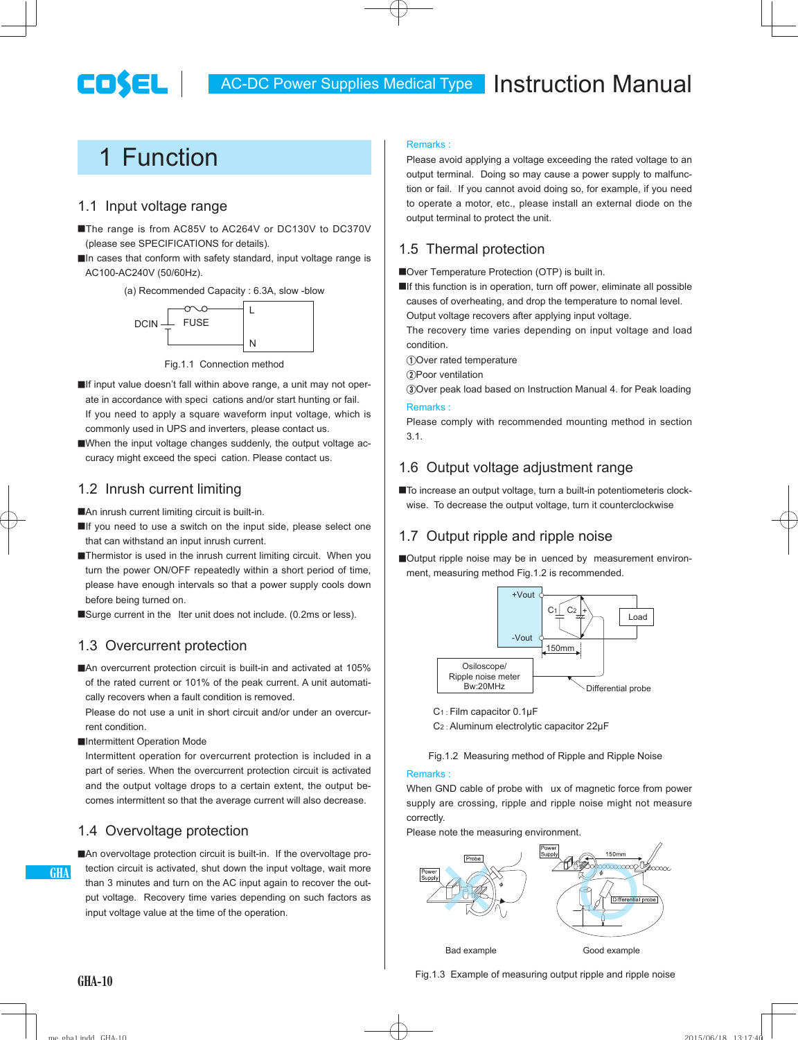# 1 Function

COSEL

## 1.1 Input voltage range

- ■The range is from AC85V to AC264V or DC130V to DC370V (please see SPECIFICATIONS for details).
- $\blacksquare$ In cases that conform with safety standard, input voltage range is AC100-AC240V (50/60Hz).
	- (a) Recommended Capacity : 6.3A, slow -blow



Fig.1.1 Connection method

- $\blacksquare$ If input value doesn't fall within above range, a unit may not operate in accordance with speci cations and/or start hunting or fail. If you need to apply a square waveform input voltage, which is commonly used in UPS and inverters, please contact us.
- ■When the input voltage changes suddenly, the output voltage accuracy might exceed the speci cation. Please contact us.

## 1.2 Inrush current limiting

■An inrush current limiting circuit is built-in.

- $\blacksquare$ If you need to use a switch on the input side, please select one that can withstand an input inrush current.
- ■Thermistor is used in the inrush current limiting circuit. When you turn the power ON/OFF repeatedly within a short period of time, please have enough intervals so that a power supply cools down before being turned on.
- ■Surge current in the lter unit does not include. (0.2ms or less).

## 1.3 Overcurrent protection

■An overcurrent protection circuit is built-in and activated at 105% of the rated current or 101% of the peak current. A unit automatically recovers when a fault condition is removed.

Please do not use a unit in short circuit and/or under an overcurrent condition.

**■Intermittent Operation Mode** 

Intermittent operation for overcurrent protection is included in a part of series. When the overcurrent protection circuit is activated and the output voltage drops to a certain extent, the output becomes intermittent so that the average current will also decrease.

## 1.4 Overvoltage protection

**GHA**

■An overvoltage protection circuit is built-in. If the overvoltage protection circuit is activated, shut down the input voltage, wait more than 3 minutes and turn on the AC input again to recover the output voltage. Recovery time varies depending on such factors as input voltage value at the time of the operation.

#### Remarks :

Please avoid applying a voltage exceeding the rated voltage to an output terminal. Doing so may cause a power supply to malfunction or fail. If you cannot avoid doing so, for example, if you need to operate a motor, etc., please install an external diode on the output terminal to protect the unit.

## 1.5 Thermal protection

■Over Temperature Protection (OTP) is built in.

- **If this function is in operation, turn off power, eliminate all possible** causes of overheating, and drop the temperature to nomal level.
	- Output voltage recovers after applying input voltage.

 The recovery time varies depending on input voltage and load condition.

- 1 Over rated temperature
- 2 Poor ventilation

3 Over peak load based on Instruction Manual 4. for Peak loading

#### Remarks :

Please comply with recommended mounting method in section 3.1.

## 1.6 Output voltage adjustment range

■ To increase an output voltage, turn a built-in potentiometeris clockwise. To decrease the output voltage, turn it counterclockwise

## 1.7 Output ripple and ripple noise

■Output ripple noise may be in uenced by measurement environment, measuring method Fig.1.2 is recommended.



C1 : Film capacitor 0.1μF

C2 : Aluminum electrolytic capacitor 22μF

Fig.1.2 Measuring method of Ripple and Ripple Noise

#### Remarks :

When GND cable of probe with ux of magnetic force from power supply are crossing, ripple and ripple noise might not measure correctly.

Please note the measuring environment.



Fig.1.3 Example of measuring output ripple and ripple noise **GHA-10**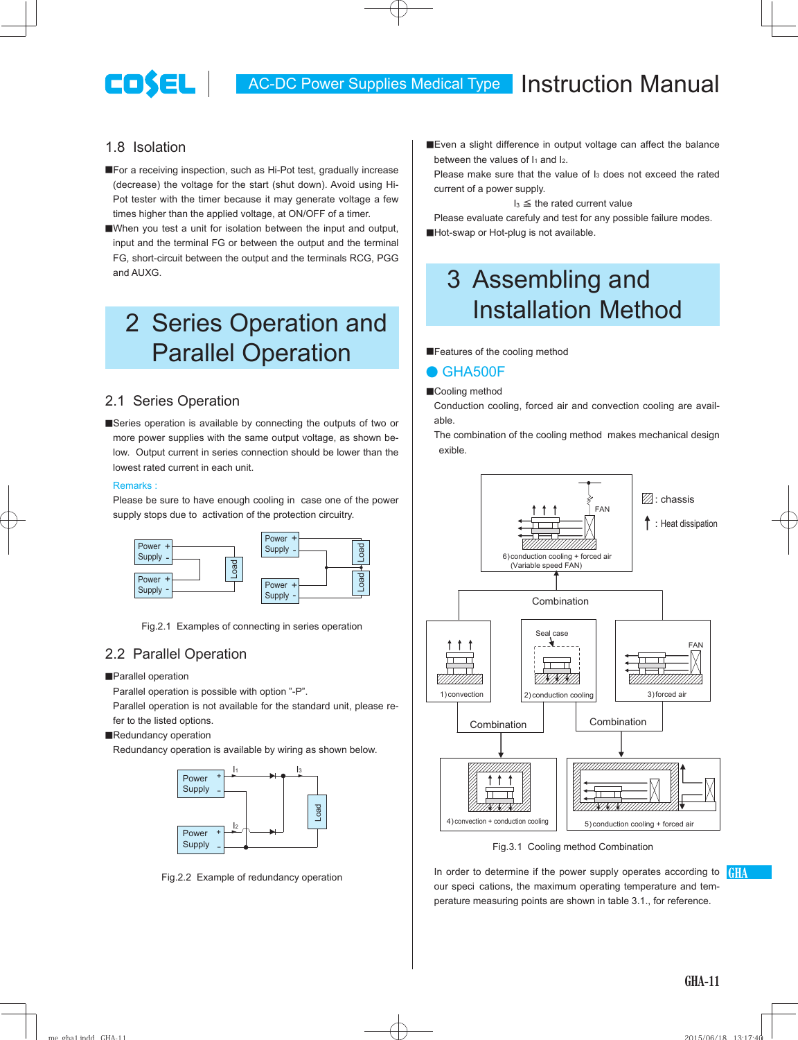#### 1.8 Isolation

**COSEL** 

- **EXTERCTER** For a receiving inspection, such as Hi-Pot test, gradually increase (decrease) the voltage for the start (shut down). Avoid using Hi-Pot tester with the timer because it may generate voltage a few times higher than the applied voltage, at ON/OFF of a timer.
- ■When you test a unit for isolation between the input and output, input and the terminal FG or between the output and the terminal FG, short-circuit between the output and the terminals RCG, PGG and AUXG.

# 2 Series Operation and Parallel Operation

### 2.1 Series Operation

■Series operation is available by connecting the outputs of two or more power supplies with the same output voltage, as shown below. Output current in series connection should be lower than the lowest rated current in each unit.

#### Remarks :

Please be sure to have enough cooling in case one of the power supply stops due to activation of the protection circuitry.



Fig.2.1 Examples of connecting in series operation

### 2.2 Parallel Operation

#### **Parallel operation**

Parallel operation is possible with option "-P".

 Parallel operation is not available for the standard unit, please refer to the listed options.

Redundancy operation

Redundancy operation is available by wiring as shown below.



Fig.2.2 Example of redundancy operation

**Even a slight difference in output voltage can affect the balance** between the values of  $I_1$  and  $I_2$ .

Please make sure that the value of I<sub>3</sub> does not exceed the rated current of a power supply.

 $I_3 \leq$  the rated current value

 Please evaluate carefuly and test for any possible failure modes. Hot-swap or Hot-plug is not available.

# 3 Assembling and Installation Method

**E**Features of the cooling method

#### GHA500F

■Cooling method

 Conduction cooling, forced air and convection cooling are available.

 The combination of the cooling method makes mechanical design exible.



Fig.3.1 Cooling method Combination

 In order to determine if the power supply operates according to our speci cations, the maximum operating temperature and temperature measuring points are shown in table 3.1., for reference. **GHA**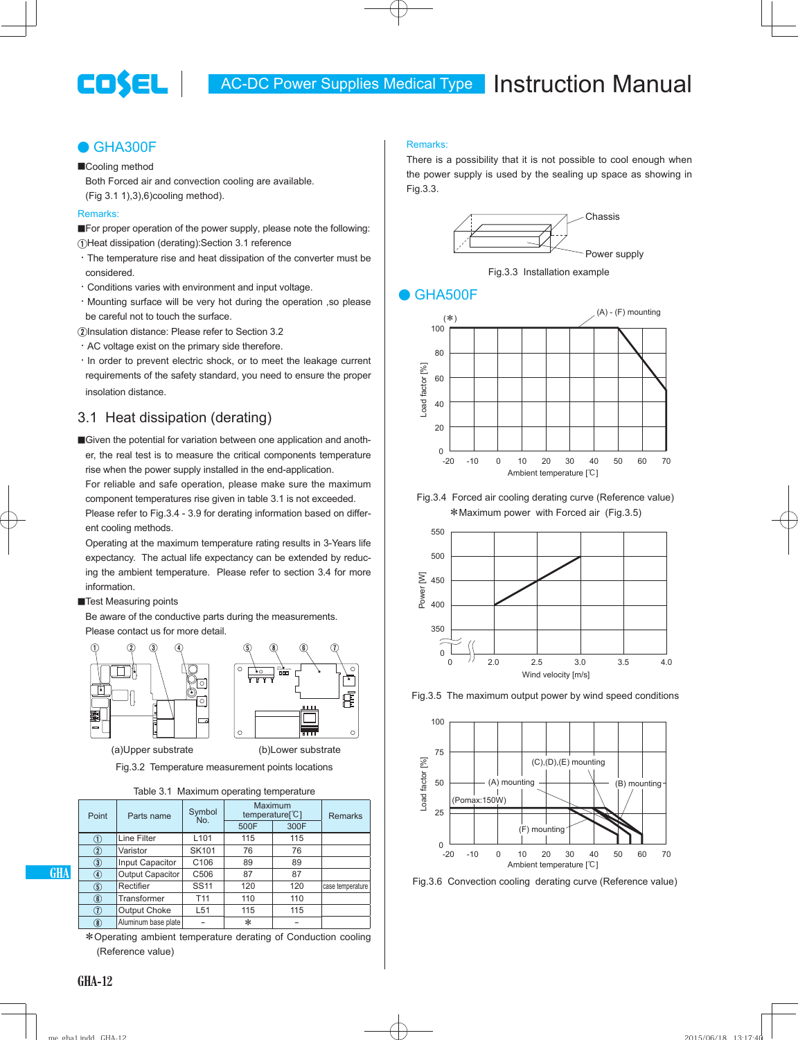# COSEL

## $\bullet$  GHA300F

#### ■Cooling method

 Both Forced air and convection cooling are available. (Fig 3.1 1),3),6)cooling method).

#### Remarks:

**E**For proper operation of the power supply, please note the following: 1Heat dissipation (derating):Section 3.1 reference

- $\cdot$  The temperature rise and heat dissipation of the converter must be considered.
- -Conditions varies with environment and input voltage.
- -Mounting surface will be very hot during the operation ,so please be careful not to touch the surface.

2Insulation distance: Please refer to Section 3.2

- $\cdot$  AC voltage exist on the primary side therefore.
- $\cdot$  In order to prevent electric shock, or to meet the leakage current requirements of the safety standard, you need to ensure the proper insolation distance.

## 3.1 Heat dissipation (derating)

**Example 3 Fernandial Formation and system in Fernandian** and another, the real test is to measure the critical components temperature rise when the power supply installed in the end-application.

 For reliable and safe operation, please make sure the maximum component temperatures rise given in table 3.1 is not exceeded. Please refer to Fig.3.4 - 3.9 for derating information based on differ-

ent cooling methods.

 Operating at the maximum temperature rating results in 3-Years life expectancy. The actual life expectancy can be extended by reducing the ambient temperature. Please refer to section 3.4 for more information.

**Test Measuring points** 

 Be aware of the conductive parts during the measurements. Please contact us for more detail.





(a)Upper substrate (b)Lower substrate

Fig.3.2 Temperature measurement points locations

Table 3.1 Maximum operating temperature

| Point                                         | Parts name              |                  | Maximum<br>temperature <sup>[°</sup> C] |      | <b>Remarks</b>   |  |
|-----------------------------------------------|-------------------------|------------------|-----------------------------------------|------|------------------|--|
|                                               |                         | No.              | 500F                                    | 300F |                  |  |
| O                                             | Line Filter             | L <sub>101</sub> | 115                                     | 115  |                  |  |
| $^\mathrm{(2)}$                               | Varistor                | <b>SK101</b>     | 76                                      | 76   |                  |  |
| $\circled{3}$                                 | Input Capacitor         | C <sub>106</sub> | 89                                      | 89   |                  |  |
| 4                                             | <b>Output Capacitor</b> | C506             | 87                                      | 87   |                  |  |
| $\circledS$                                   | Rectifier               | <b>SS11</b>      | 120                                     | 120  | case temperature |  |
| $^\circledR$                                  | Transformer             | T <sub>11</sub>  | 110                                     | 110  |                  |  |
| $\left( \widehat{\mathbf{\mathit{\}}}\right)$ | Output Choke            | L <sub>51</sub>  | 115                                     | 115  |                  |  |
| $\circledast$                                 | Aluminum base plate     |                  | *                                       |      |                  |  |

\*Operating ambient temperature derating of Conduction cooling (Reference value)

#### Remarks:

There is a possibility that it is not possible to cool enough when the power supply is used by the sealing up space as showing in Fig.3.3.



Fig.3.3 Installation example

#### GHA500F



Fig.3.4 Forced air cooling derating curve (Reference value) \*Maximum power with Forced air (Fig.3.5)



Fig.3.5 The maximum output power by wind speed conditions



Fig.3.6 Convection cooling derating curve (Reference value)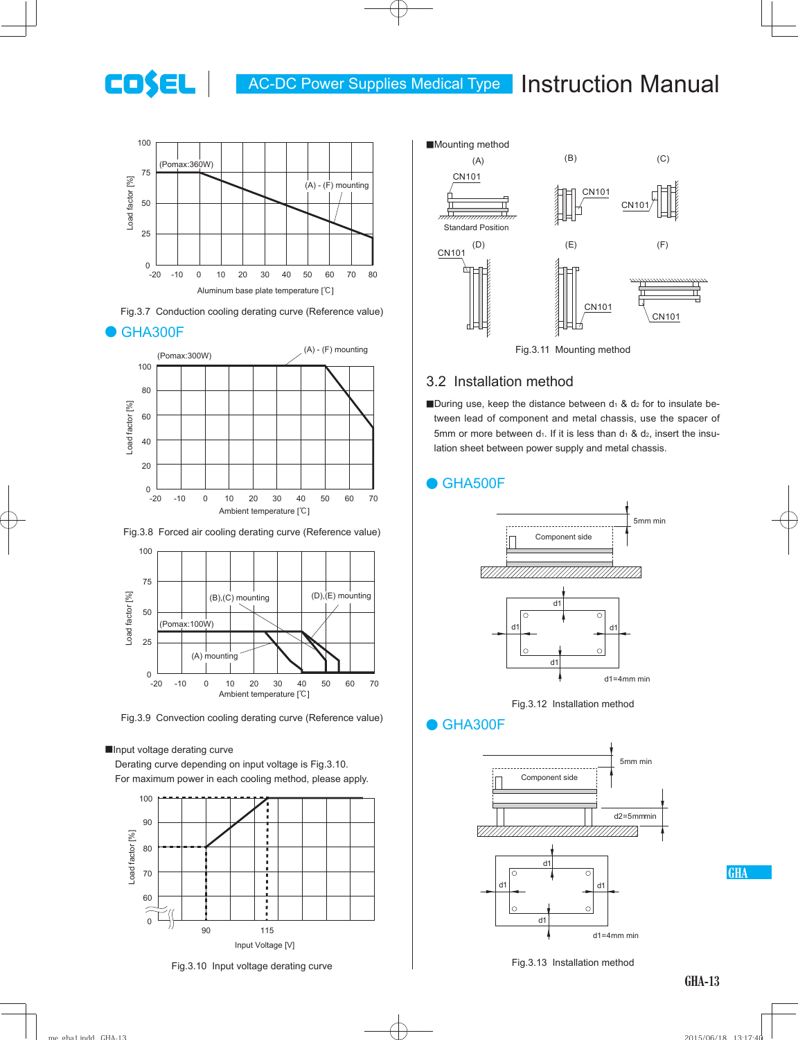## AC-DC Power Supplies Medical Type | Instruction Manual





#### $\bullet$  GHA300F

COSEL



Fig.3.8 Forced air cooling derating curve (Reference value)



Fig.3.9 Convection cooling derating curve (Reference value)

#### ■Input voltage derating curve

 Derating curve depending on input voltage is Fig.3.10. For maximum power in each cooling method, please apply.



Fig.3.10 Input voltage derating curve



## 3.2 Installation method

**IDuring use, keep the distance between d<sub>1</sub> & d<sub>2</sub> for to insulate be**tween lead of component and metal chassis, use the spacer of 5mm or more between d<sub>1</sub>. If it is less than  $d_1$  &  $d_2$ , insert the insulation sheet between power supply and metal chassis.

### ● GHA500F



Fig.3.12 Installation method

## ● GHA300F

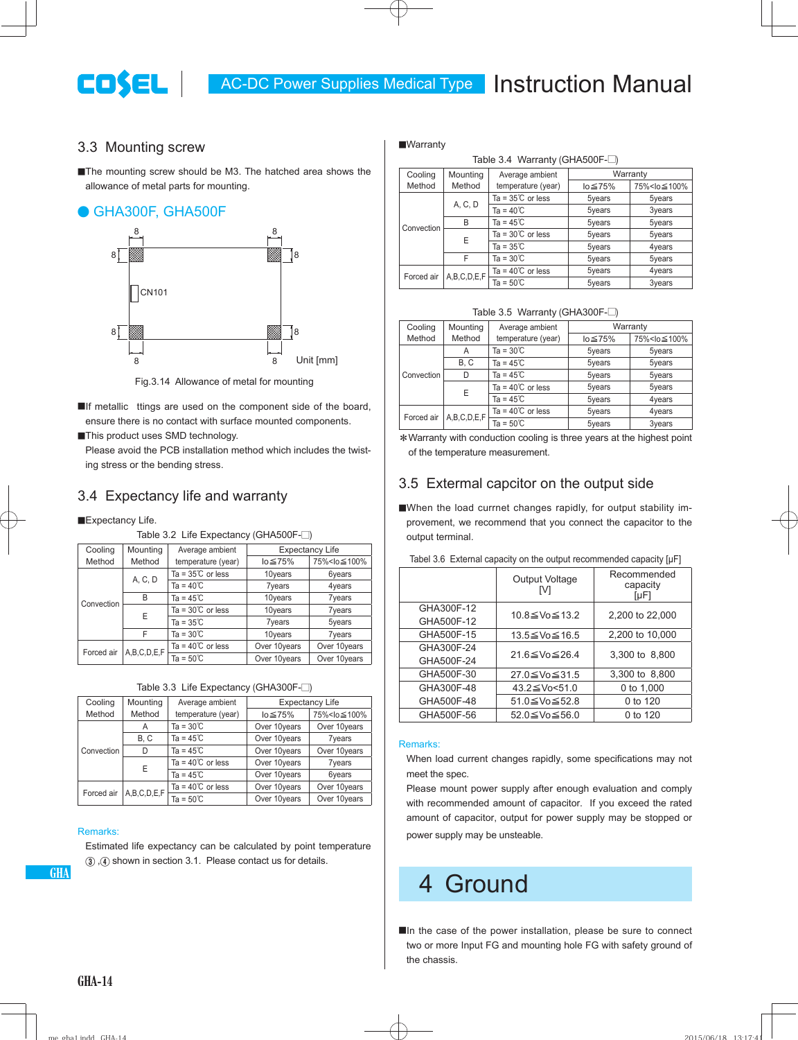## AC-DC Power Supplies Medical Type | Instruction Manual

#### 3.3 Mounting screw

COSEL

■The mounting screw should be M3. The hatched area shows the allowance of metal parts for mounting.

#### ¿ GHA300F, GHA500F



Fig.3.14 Allowance of metal for mounting

**If metallic** ttings are used on the component side of the board, ensure there is no contact with surface mounted components.

■This product uses SMD technology.

Please avoid the PCB installation method which includes the twisting stress or the bending stress.

#### 3.4 Expectancy life and warranty

#### **Expectancy Life.**

Table 3.2 Life Expectancy (GHA500F-□) Cooling Method **Mounting** Method Average ambient temperature (year) Expectancy Life Io≦75% 75%<lo≤100% **Convection** A, C, D  $\begin{array}{|l|l|} \hline \text{Ta} = 35^\circ\text{C} \text{ or } \text{less} & \text{10years} & \text{6years} \\ \hline \text{Ta} = 40^\circ\text{C} & \text{7years} & \text{4years} \end{array}$ Ta =  $40^{\circ}$ C B Ta = 45°C 10years 7years  $E = \begin{array}{|l|l|} \hline \text{Ta} = 30^{\circ}\text{C} \text{ or } \text{less} & \text{10years} & \text{7 years} \\ \hline \hline \text{Ta} = 35^{\circ}\text{C} & \text{7 years} & \text{5 years} \end{array}$ Ta =  $35\degree$ C F Ta = 30°C 10years 7years Forced air  $A, B, C, D, E, F$   $\frac{Ta = 40^{\circ}C \text{ or less}}{Ta = 50^{\circ}C}$  Over 10years Over 10years Over 10years

|  |  |  | Table 3.3  Life Expectancy (GHA300F-⊟) |
|--|--|--|----------------------------------------|
|--|--|--|----------------------------------------|

| Cooling    | Mounting    | Average ambient             |              | <b>Expectancy Life</b>          |
|------------|-------------|-----------------------------|--------------|---------------------------------|
| Method     | Method      | temperature (year)          | lo≦75%       | 75% <lo≦100%< td=""></lo≦100%<> |
|            | A           | Ta = $30^{\circ}$ C         | Over 10years | Over 10years                    |
| Convection | B, C        | Ta = $45^{\circ}$ C         | Over 10years | <b>7years</b>                   |
|            | D           | Ta = $45^{\circ}$ C         | Over 10years | Over 10years                    |
|            | Е           | Ta = $40^{\circ}$ C or less | Over 10years | <b>7years</b>                   |
|            |             | $Ta = 45^{\circ}C$          | Over 10years | 6years                          |
| Forced air | A,B,C,D,E,F | Ta = $40^{\circ}$ C or less | Over 10years | Over 10years                    |
|            |             | Ta = $50^{\circ}$ C         | Over 10years | Over 10years                    |

#### Remarks:

 Estimated life expectancy can be calculated by point temperature  $(3)$ ,  $(4)$  shown in section 3.1. Please contact us for details.

**GHA**

#### **Narranty**

|            | Table 3.4 Warranty (GHA500F-□) |                             |                |                                 |  |  |
|------------|--------------------------------|-----------------------------|----------------|---------------------------------|--|--|
| Cooling    | Mounting                       | Average ambient             |                | Warranty                        |  |  |
| Method     | Method                         | temperature (year)          | $lo \leq 75\%$ | 75% <lo≦100%< td=""></lo≦100%<> |  |  |
|            | A, C, D                        | Ta = $35^{\circ}$ C or less | 5years         | 5years                          |  |  |
|            |                                | $Ta = 40^{\circ}C$          | 5years         | 3years                          |  |  |
| Convection | B                              | $Ta = 45^{\circ}C$          | 5years         | 5years                          |  |  |
|            | E                              | Ta = $30^{\circ}$ C or less | 5years         | 5years                          |  |  |
|            |                                | Ta = $35^{\circ}$ C         | 5years         | 4years                          |  |  |
|            | F                              | $Ta = 30^{\circ}C$          | 5years         | 5years                          |  |  |
| Forced air |                                | Ta = $40^{\circ}$ C or less | 5years         | 4years                          |  |  |
|            | A,B,C,D,E,F                    | Ta = $50^{\circ}$ C         | 5years         | 3years                          |  |  |

|  |  | Table 3.5 Warranty (GHA300F-□) |
|--|--|--------------------------------|
|--|--|--------------------------------|

| Cooling    | Mounting    | Average ambient             |                | Warranty                        |
|------------|-------------|-----------------------------|----------------|---------------------------------|
| Method     | Method      | temperature (year)          | $lo \leq 75\%$ | 75% <lo≦100%< td=""></lo≦100%<> |
|            | Α           | Ta = $30^{\circ}$ C         | 5years         | 5years                          |
| Convection | B, C        | $Ta = 45^{\circ}C$          | 5years         | 5years                          |
|            | D           | Ta = $45^{\circ}$ C         | 5years         | 5years                          |
|            | E           | Ta = $40^{\circ}$ C or less | 5years         | 5years                          |
|            |             | $Ta = 45^{\circ}C$          | 5years         | 4years                          |
| Forced air | A,B,C,D,E,F | Ta = $40^{\circ}$ C or less | 5years         | 4years                          |
|            |             | Ta = $50^{\circ}$ C         | 5years         | 3years                          |

<sup>\*</sup> Warranty with conduction cooling is three years at the highest point of the temperature measurement.

### 3.5 Extermal capcitor on the output side

■When the load currnet changes rapidly, for output stability improvement, we recommend that you connect the capacitor to the output terminal.

|            | Output Voltage | Recommended<br>capacity<br>[µF] |
|------------|----------------|---------------------------------|
| GHA300F-12 | 10.8≤Vo≤13.2   | 2,200 to 22,000                 |
| GHA500F-12 |                |                                 |
| GHA500F-15 | 13.5≤Vo≤16.5   | 2,200 to 10,000                 |
| GHA300F-24 | 21.6≤Vo≤26.4   | 3,300 to 8,800                  |
| GHA500F-24 |                |                                 |
| GHA500F-30 | 27.0≤Vo≤31.5   | 3,300 to 8,800                  |
| GHA300F-48 | 43.2≤Vo<51.0   | 0 to 1,000                      |
| GHA500F-48 | 51.0≤Vo≤52.8   | 0 to 120                        |
| GHA500F-56 | 52.0≤Vo≤56.0   | 0 to 120                        |
|            |                |                                 |

#### Tabel 3.6 External capacity on the output recommended capacity [µF]

#### Remarks:

 When load current changes rapidly, some specifications may not meet the spec.

 Please mount power supply after enough evaluation and comply with recommended amount of capacitor. If you exceed the rated amount of capacitor, output for power supply may be stopped or power supply may be unsteable.

# 4 Ground

In the case of the power installation, please be sure to connect two or more Input FG and mounting hole FG with safety ground of the chassis.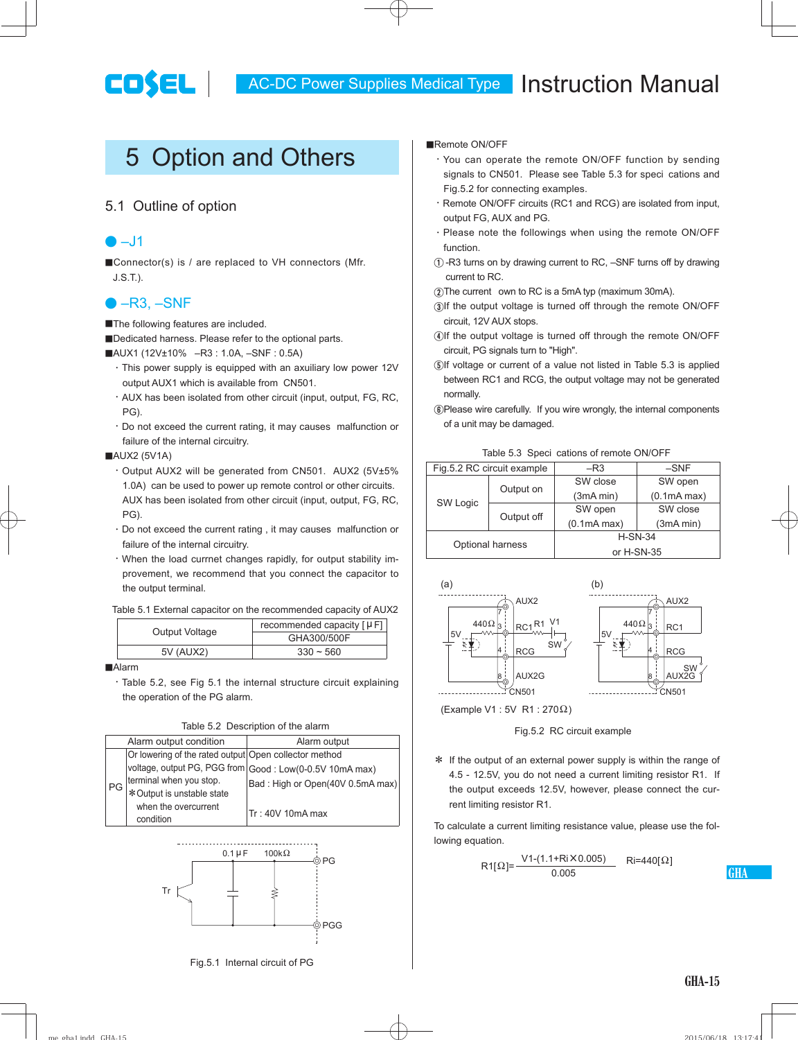# 5 Option and Others

## 5.1 Outline of option

**COSEL** 

## $\bullet$  –J1

■Connector(s) is / are replaced to VH connectors (Mfr. J.S.T.).

## $\bullet$  –R<sub>3</sub>, –SNF

**The following features are included.** 

- Dedicated harness. Please refer to the optional parts.
- ■AUX1 (12V±10% –R3: 1.0A, –SNF: 0.5A)
	- -This power supply is equipped with an axuiliary low power 12V output AUX1 which is available from CN501.
	- $\cdot$  AUX has been isolated from other circuit (input, output, FG, RC, PG).
	- -Do not exceed the current rating, it may causes malfunction or failure of the internal circuitry.

 $\blacksquare$ AUX2 (5V1A)

- -Output AUX2 will be generated from CN501. AUX2 (5V±5% 1.0A) can be used to power up remote control or other circuits. AUX has been isolated from other circuit (input, output, FG, RC, PG).
- -Do not exceed the current rating , it may causes malfunction or failure of the internal circuitry.
- -When the load currnet changes rapidly, for output stability improvement, we recommend that you connect the capacitor to the output terminal.

Table 5.1 External capacitor on the recommended capacity of AUX2

|                | recommended capacity $\lceil \mu \rceil$ |
|----------------|------------------------------------------|
| Output Voltage | GHA300/500F                              |
| 5V (AUX2)      | $330 - 560$                              |

¡Alarm

-Table 5.2, see Fig 5.1 the internal structure circuit explaining the operation of the PG alarm.

|  |  | Table 5.2 Description of the alarm |  |  |
|--|--|------------------------------------|--|--|
|--|--|------------------------------------|--|--|

|    | Alarm output condition                                | Alarm output                                            |  |
|----|-------------------------------------------------------|---------------------------------------------------------|--|
|    | Or lowering of the rated output Open collector method |                                                         |  |
|    |                                                       | voltage, output PG, PGG from Good: Low(0-0.5V 10mA max) |  |
| PG | terminal when you stop.                               | Bad: High or Open(40V 0.5mA max)                        |  |
|    | *Output is unstable state                             |                                                         |  |
|    | when the overcurrent                                  |                                                         |  |
|    | condition                                             | Tr : 40V 10mA max                                       |  |



#### Remote ON/OFF

- -You can operate the remote ON/OFF function by sending signals to CN501. Please see Table 5.3 for speci cations and Fig.5.2 for connecting examples.
- -Remote ON/OFF circuits (RC1 and RCG) are isolated from input, output FG, AUX and PG.
- -Please note the followings when using the remote ON/OFF function.
- 1 -R3 turns on by drawing current to RC, –SNF turns off by drawing current to RC.
- 2 The current own to RC is a 5mA typ (maximum 30mA).
- 3 If the output voltage is turned off through the remote ON/OFF circuit, 12V AUX stops.
- (4) If the output voltage is turned off through the remote ON/OFF circuit, PG signals turn to "High".
- 5 If voltage or current of a value not listed in Table 5.3 is applied between RC1 and RCG, the output voltage may not be generated normally.
- 6 Please wire carefully. If you wire wrongly, the internal components of a unit may be damaged.

Table 5.3 Speci cations of remote ON/OFF

| Fig.5.2 RC circuit example |            | $-R3$          | $-SNF$      |
|----------------------------|------------|----------------|-------------|
| SW Logic                   | Output on  | SW close       | SW open     |
|                            |            | (3mA min)      | (0.1mA max) |
|                            | Output off | SW open        | SW close    |
|                            |            | (0.1mA max)    | (3mA min)   |
| Optional harness           |            | <b>H-SN-34</b> |             |
|                            |            | or H-SN-35     |             |



(Example V1 : 5V R1 : 270 $\Omega$ )

Fig.5.2 RC circuit example

\* If the output of an external power supply is within the range of 4.5 - 12.5V, you do not need a current limiting resistor R1. If the output exceeds 12.5V, however, please connect the current limiting resistor R1.

To calculate a current limiting resistance value, please use the following equation.

$$
R1[\Omega] = \frac{V1-(1.1+Ri \times 0.005)}{0.005}
$$
 Ri=440[\Omega]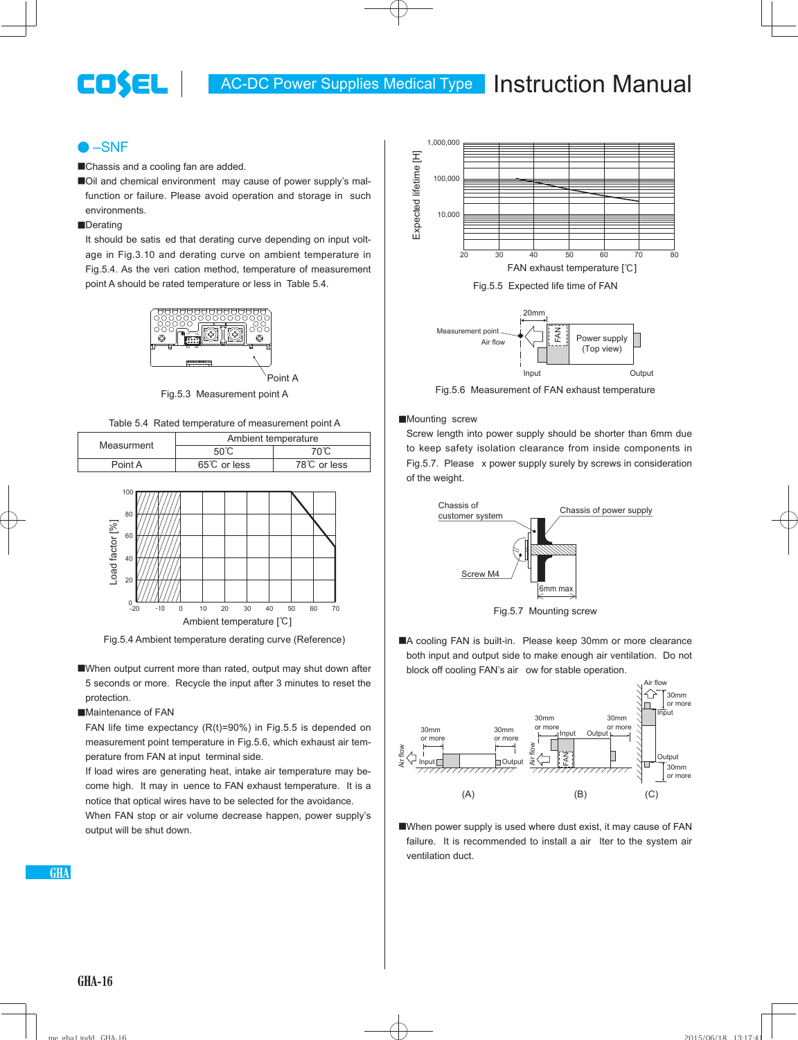## AC-DC Power Supplies Medical Type | Instruction Manual

#### $\bullet$  –SNF

COSEL

■Chassis and a cooling fan are added.

■Oil and chemical environment may cause of power supply's malfunction or failure. Please avoid operation and storage in such environments.

#### **Derating**

It should be satis ed that derating curve depending on input voltage in Fig.3.10 and derating curve on ambient temperature in Fig.5.4. As the veri cation method, temperature of measurement point A should be rated temperature or less in Table 5.4.



Fig.5.3 Measurement point A



|            | Ambient temperature |             |  |
|------------|---------------------|-------------|--|
| Measurment | $50^{\circ}$ C      | 70°C        |  |
| Point A    | 65℃ or less         | 78℃ or less |  |



Fig.5.4 Ambient temperature derating curve (Reference)

■When output current more than rated, output may shut down after 5 seconds or more. Recycle the input after 3 minutes to reset the protection.

#### ■Maintenance of FAN

 FAN life time expectancy (R(t)=90%) in Fig.5.5 is depended on measurement point temperature in Fig.5.6, which exhaust air temperature from FAN at input terminal side.

 If load wires are generating heat, intake air temperature may become high. It may in uence to FAN exhaust temperature. It is a notice that optical wires have to be selected for the avoidance. When FAN stop or air volume decrease happen, power supply's output will be shut down.



Fig.5.5 Expected life time of FAN



Fig.5.6 Measurement of FAN exhaust temperature

#### **Mounting** screw

 Screw length into power supply should be shorter than 6mm due to keep safety isolation clearance from inside components in Fig.5.7. Please x power supply surely by screws in consideration of the weight.



Fig.5.7 Mounting screw

A cooling FAN is built-in. Please keep 30mm or more clearance both input and output side to make enough air ventilation. Do not block off cooling FAN's air ow for stable operation.



■When power supply is used where dust exist, it may cause of FAN failure. It is recommended to install a air lter to the system air ventilation duct.